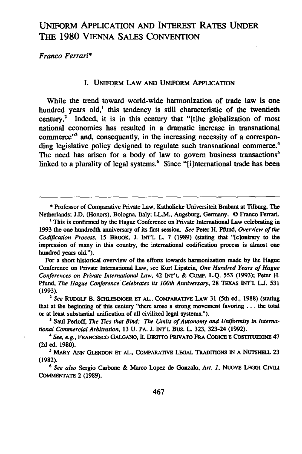# UNIFORM APPLICATION AND INTEREST RATES UNDER **THE 1980** VIENNA **SALES CONVENTION**

*Franco Ferrari\**

## I. UNIFORM LAW **AND** UNIFORM **APPLICATION**

While the trend toward world-wide harmonization of trade law is one hundred years old,<sup>1</sup> this tendency is still characteristic of the twentieth century.' Indeed, it is in this century that "[the globalization of most national economies has resulted in a dramatic increase in transnational commerce"<sup>3</sup> and, consequently, in the increasing necessity of a corresponding legislative policy designed to regulate such transnational commerce.<sup>4</sup> The need has arisen for a body of law to govern business transactions<sup>5</sup> linked to a plurality of legal systems.<sup>6</sup> Since "[i]nternational trade has been

For a short historical overview of the efforts towards harmonization made **by** the Hague Conference on Private International Law, see Kurt Lipstein, *One Hundred Years of Hague Conferences* on *Private International Law,* 42 **INT'L & COMP. L.Q. 553 (1993);** Peter H. Pfund, *The Hague Conference Celebrates its 100th Anniversary,* **28 TEXAS INT'L L.J. 531** (1993). **<sup>2</sup>***See* RuDoLF B. SCHLESINGER **Er AL., COMPARATIVE LAW** 31 (5th ed., **1988)** (stating

that at the beginning of this century "there arose a strong movement favoring **...** the total or at least substantial unification of all civilized legal systems.").

**<sup>\*</sup>** Professor of Comparative Private Law, Katholieke Universiteit Brabant at Tilburg, The Netherlands; **J.D.** (Honors), Bologna, Italy; LL.M., Augsburg, Germany. © Franco Ferrari.

<sup>&</sup>lt;sup>1</sup> This is confirmed by the Hague Conference on Private International Law celebrating in **1993** the one hundredth anniversary of its first session. See Peter H. Pfund, Overview of the Codification *Process,* **15 BROOK. J. INT'L** L. **7 (1989)** (stating that "(c]ontrary to the impression of many in this country, the international codification process is almost one hundred years old.").

**<sup>3</sup>** Saul Perloff, *The Ties that Bind: The Limits of Autonomy and Uniformity in International Commercial Arbitration,* **13 U.** PA. **J. INT'L** Bus. L. **323,** 323-24 **(1992).**

<sup>4</sup> *See, e.g.,* **FRANcEsco** GALGANO, IL **DnuTTO PRIVATO FRA** CODICE **E** CosTITuzIoNE 47 **(2d** ed. **1980).**

**<sup>5</sup> MARY ANN GLENDON ET AL., COMPARATIvE LEGAL TRADITIONS IN A NUTSHELL 23 (1982).**

*<sup>6</sup> See also* Sergio Carbone **&** Marco Lopez **de** Gonzalo, *Art. 1,* NuovE LEGal **CW COMMENTATE** 2 **(1989).**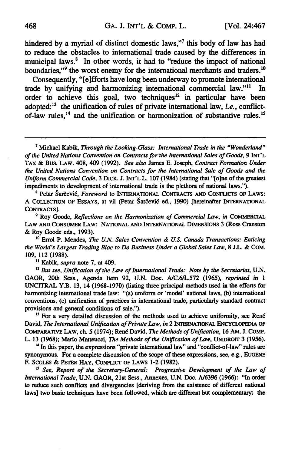hindered **by** a myriad of distinct domestic laws,"7 this body of law has had to reduce the obstacles to international trade caused **by** the differences in municipal laws.<sup>8</sup> In other words, it had to "reduce the impact of national boundaries,"<sup>9</sup> the worst enemy for the international merchants and traders.<sup>10</sup>

Consequently, "[elfforts have long been underway to promote international trade **by** unifying and harmonizing international commercial law."" In order to achieve this goal, two techniques<sup>12</sup> in particular have been adopted:<sup>13</sup> the unification of rules of private international law, *i.e.*, conflictof-law rules,<sup>14</sup> and the unification or harmonization of substantive rules.<sup>15</sup>

**8** Petar gardevi6, *Foreword* to INTERNATIONAL CONTRACTS **AND** CONFLICTS OF LAWS: A COLLECTION OF ESSAYS, at vii (Petar Šarčević ed., 1990) [hereinafter INTERNATIONAL CONTRACTS].

**9** Roy Goode, *Reflections on the Harmonization of Commercial Law, in* **COMMERCIAL** LAW **AND** CONSUMER LAW: NATIONAL **AND** INTERNATIONAL DIMENSIONS 3 (Ross Cranston **&** Roy Goode eds., **1993).**

**<sup>10</sup>**Errol P. Mendes, *The U.N. Sales Convention & U.S.-Canada Transactions; Enticing the World's Largest Trading Bloc to Do Business Under a Global Sales Law,* **8 J.L. & COM. 109,** 112 **(1988).**

**"** Kabik, *supra* note **7,** at 409.

**<sup>12</sup>***But see, Unification of the* Law *of International Trade: Note by the Secretariat,* **U.N.** GAOR, 20th Sess., Agenda Item **92, U.N.** Doc. **A/C.6/L.572 (1965),** *reprinted in 1* UNCITRAL Y.B. **13,** 14 **(1968-1970)** (listing three principal methods used in the efforts for harmonizing international trade law: "(a) uniform or 'model' national laws, **(b)** international conventions, (c) unification of practices in international trade, particularly standard contract provisions and general conditions of sale.").

<sup>13</sup> For a very detailed discussion of the methods used to achieve uniformity, see René David, *The International Unification of Private Law, in* 2 INTERNATIONAL ENCYCLOPEDIA **OF** COMPARATIVE **LAW,** ch. **5** (1974); Ren6 David, *The Methods of Unification,* **16 AM. J. COMP.** L. **13 (1968);** Mario Matteucci, *The Methods of the Unification of Law,* UNIDROIT **3 (1956).**

<sup>14</sup> In this paper, the expressions "private international law" and "conflict-of-law" rules are synonymous. For a complete discussion of the scope of these expressions, see, e.g., **EUGENE** F. SCOLEs **&** PETER **HAY, CONFLICT** OF LAWS 1-2 **(1982).**

*15 See, Report of the Secretary-General: Progressive Development of the Law of International Trade,* **U.N.** GAOR, 21st Sess., Annexes, **U.N.** Doc. **A/6396 (1966):** "In order to reduce such conflicts and divergencies [deriving from the existence of different national laws] two basic techniques have been followed, which are different but complementary: the

<sup>7</sup> Michael Kabik, Through *the Looking-Glass: International Trade in the "Wonderland" of the United Nations Convention on Contracts for the International Sales of Goods, 9* INT'L TAX **&** Bus. LAw. 408, 409 **(1992).** *See* also James **E.** Joseph, *Contract Formation Under the United Nations Convention on Contracts for the International Sale of Goods and the Uniform Commercial Code,* **3** DICK. **J. INT'L** L. **107** (1984) (stating that "[o]ne of the greatest impediments to development of international trade is the plethora of national laws.").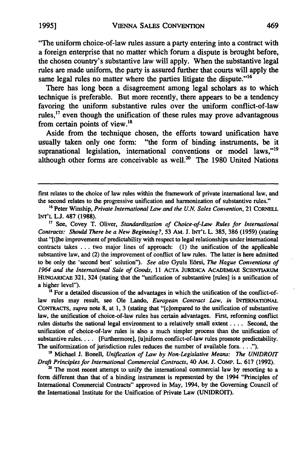"The uniform choice-of-law rules assure a party entering into a contract with a foreign enterprise that no matter which forum a dispute is brought before, the chosen country's substantive law will apply. When the substantive legal rules are made uniform, the party is assured further that courts will apply the same legal rules no matter where the parties litigate the dispute."<sup>16</sup>

There has long been a disagreement among legal scholars as to which technique is preferable. But more recently, there appears to be a tendency favoring the uniform substantive rules over the uniform conflict-of-law rules.<sup>17</sup> even though the unification of these rules may prove advantageous from certain points of view. $^{18}$ 

Aside from the technique chosen, the efforts toward unification have usually taken only one form: "the form of binding instruments, be it supranational legislation, international conventions or model laws,"<sup>19</sup> although other forms are conceivable as well. $20$  The 1980 United Nations

first relates to the choice of law rules within the framework of private international law, and the second relates to the progressive unification and harmonization of substantive rules."

**<sup>17</sup>**See, Covey T. Oliver, *Standardization of Choice-of-Law Rules for International Contracts: Should There be a New Beginning?,* 53 AM. J. **INT'L** L. 385, 386 (1959) (stating that "[tihe improvement of predictability with respect to legal relationships under international contracts takes ... two major lines of approach: (1) the unification of the applicable substantive law, and (2) the improvement of conflict of law rules. The latter is here admitted to be only the 'second best' solution"). *See also* Gyula Edrsi, *The Hague Conventions of 1964 and the International Sale of Goods,* 11 **ACTA JURIDICA ACADEMIAE ScIENTIARUM HUNGARICAE 321,** 324 (stating that the "unification of substantive [rules] is a unification of a higher level").

<sup>18</sup> For a detailed discussion of the advantages in which the unification of the conflict-oflaw rules may result, see Ole Lando, *European Contract Law, in* **INTERNATIONAL** CONTRACTs, *supra* note **8,** at **1,** 3 (stating that "[c]ompared to the unification of substantive law, the unification of choice-of-law rules has certain advantages. First, reforming conflict rules disturbs the national legal environment to a relatively small extent .... Second, the unification of choice-of-law rules is also a much simpler process than the unification of substantive rules.... [Furthermore], [u]niform conflict-of-law rules promote predictability. The uniformization of jurisdiction rules reduces the number of available fora **... ").**

**<sup>19</sup>**Michael **J.** Bonell, *Unification of Law by Non-Legislative Means: The UNIDROIT Draft Principles for International Commercial Contracts,* 40 AM. **J. COMP.** L. **617 (1992).**

20 The most recent attempt to unify the international commercial law **by** resorting to a form different than that of a binding instrument is represented **by** the 1994 "Principles of International Commercial Contracts" approved in May, 1994, **by** the Governing Council of the International Institute for the Unification of Private Law **(UNIDROIT).**

<sup>&</sup>lt;sup>16</sup> Peter Winship, *Private International Law and the U.N. Sales Convention*, 21 CORNELL **INT'L L.J. 487** (1988).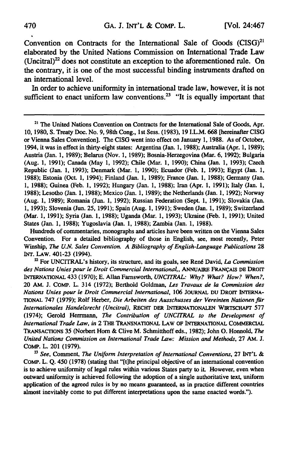Convention on Contracts for the International Sale of Goods (CISG)<sup>21</sup> elaborated **by** the United Nations Commission on International Trade Law  $(Uncitral)<sup>22</sup>$  does not constitute an exception to the aforementioned rule. On the contrary, it is one of the most successful binding instruments drafted on an international level.

In order to achieve uniformity in international trade law, however, it is not sufficient to enact uniform law conventions.<sup>23</sup> "It is equally important that

**<sup>21</sup>**The United Nations Convention on Contracts for the International Sale of Goods, Apr. **10, 1980, S.** Treaty Doc. No. 9,98th Cong., **1st** Sess. **(1983), 19** I.L.M. **668** [hereinafter CISG or Vienna Sales Convention]. The CISG went into effect on January **1, 1988.** As of October, 1994, it was in effect in thirty-eight states: Argentina (Jan. **1, 1988);** Australia (Apr. **1, 1989);** Austria (Jan. **1, 1989);** Belarus (Nov. **1, 1989);** Bosnia-Herzegovina (Mar. **6, 1992);** Bulgaria (Aug. **1, 1991);** Canada (May **1, 1992);** Chile (Mar. **1, 1990);** China (Jan. **1, 1993);** Czech Republic (Jan. **1, 1993);** Denmark (Mar. **1, 1990);** Ecuador (Feb. **1, 1993); Egypt** (Jan. **1, 1988);** Estonia (Oct. **1,** 1994); Finland (Jan. **1, 1989);** France (Jan. **1, 1988);** Germany (Jan. **1, 1988);** Guinea (Feb. **1, 1992);** Hungary (Jan. **1, 1988);** Iran (Apr. **1, 1991);** Italy (Jan. **1, 1988);** Lesotho (Jan. **1, 1988);** Mexico (Jan. **1, 1989);** the Netherlands (Jan. **1, 1992);** Norway (Aug. **1, 1989);** Romania (Jun. **1, 1992);** Russian Federation (Sept. **1, 1991);** Slovakia (Jan. **1, 1993);** Slovenia (Jun. **25, 1991);** Spain (Aug. **1, 1991);** Sweden (Jan. **1, 1989);** Switzerland (Mar. **1, 1991);** Syria (Jan. **1, 1988);** Uganda (Mar. **1, 1993);** Ukraine (Feb. **1, 1991);** United States (Jan. **1, 1988);** Yugoslavia (Jan. **1, 1988);** Zambia (Jan. **1, 1988).**

Hundreds of commentaries, monographs and articles have been written on the Vienna Sales Convention. For a detailed bibliography of those in English, see, most recently, Peter Winship, *The U.N.* Sales Convention. **A** Bibliography of English-Language Publications **28 INT. LAW.** 401-23 (1994).

<sup>22</sup> For UNCITRAL's history, its structure, and its goals, see René David, *La Commission* des Nations Unies pour le Droit Commercial International,, *ANNUAIRE* FRANCAS **DE** DROrr INTERNATIONAL 433 **(1970); E.** Allan Farnsworth, **UNCITRAL: Why?** What? How? *When?,* 20 AM. **J.** COMp. L. 314 **(1972);** Berthold Goldman, *Les* Travaux de **la** Commission des Nations Unies pour le Droit Commercial International, **106 JOURNAL** DU DRorr **INTERNA-TIONAL 747 (1979);** Rolf Herber, Die Arbeiten des Ausschusses der Vereinten Nationen fiir Internationales Handelsrecht (Uncitral), RECHT DER INTERNATIONALEN WIRTSCHAFr **577** (1974); Gerold Herrmann, The Contribution of **UNCITRAL** to the Development of International Trade Law, in 2 **THE** TRANSNATIONAL LAW OF INTERNATIONAL COMMERCIAL TRANSACTIONS **35** (Norbert Horn **&** Clive M. Schmitthoff eds., **1982);** John **0.** Honnold, *The* United Nations Commission on International Trade Law: Mission and Methods, **27 AM. J.** COMe. L. 201 **(1979).**

*'* See, Comment, *The* Uniform Interpretation of International Conventions, **27 INT'L &** COMp. L. **Q.** 450 **(1978)** (stating that **"[t]he** principal objective of an international convention is to achieve uniformity of legal rules within various States party to **it.** However, even when outward uniformity is achieved following the adoption of a single authoritative text, uniform application of the agreed rules is **by** no means guaranteed, as in practice different countries almost inevitably come to put different interpretations upon the same enacted words.").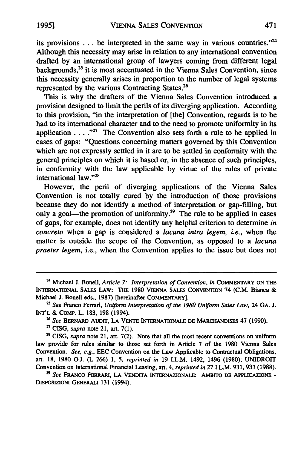its provisions **...** be interpreted in the same way in various countries."' Although this necessity may arise in relation to any international convention drafted by an international group of lawyers coming from different legal backgrounds, $^{25}$  it is most accentuated in the Vienna Sales Convention, since this necessity generally arises in proportion to the number of legal systems represented by the various Contracting States.<sup>26</sup>

This is why the drafters of the Vienna Sales Convention introduced a provision designed to limit the perils of its diverging application. According to this provision, "in the interpretation of [the] Convention, regards is to be had to its international character and to the need to promote uniformity in its application  $\ldots$  .<sup>427</sup> The Convention also sets forth a rule to be applied in cases of gaps: "Questions concerning matters governed by this Convention which are not expressly settled in it are to be settled in conformity with the general principles on which it is based or, in the absence of such principles, in conformity with the law applicable by virtue of the rules of private international law."<sup>28</sup>

However, the peril of diverging applications of the Vienna Sales Convention is not totally cured by the introduction of those provisions because they do not identify a method of interpretation or gap-filling, but only a goal—the promotion of uniformity.<sup>29</sup> The rule to be applied in cases of gaps, for example, does not identify any helpful criterion to determine *in concreto* when a gap is considered a *lacuna intra legem, i.e.,* when the matter is outside the scope of the Convention, as opposed to a *lacuna praeter legem,* i.e., when the Convention applies to the issue but does not

<sup>28</sup> CISG, *supra* note 21, art. 7(2). Note that all the most recent conventions on uniform law provide for rules similar to those set forth in Article **7** of the **1980** Vienna Sales Convention. *See, e.g.,* **EEC** Convention on the Law Applicable to Contractual Obligations, art. **18, 1980 O.J.** (L **266) 1, 5,** *reprinted in* **19** I.L.M. 1492, 1496 **(1980);** UNIDROIT Convention on International Financial Leasing, art. 4, *reprinted in* **27** I.L.M. **931, 933 (1988).**

*<sup>29</sup>See* FRANCO FERRARI, **LA** VENDrrA INTERNAZIONALE: AMBrro **DE** APPLICAZIONE **-** DISPOSIZIONI **GENERALI 131** (1994).

**<sup>24</sup>**Michael J. Bonell, *Article 7: Interpretation of Convention, in* COMMENTARY ON THE INTERNATIONAL SALES LAW: **THE 1980** VIENNA **SALES** CONVENTION 74 **(C.M.** Bianca & Michael J. Bonell eds., **1987)** [hereinafter COMMENTARY].

*<sup>25</sup>See* Franco Ferrari, *Uniform Interpretation of the 1980 Uniform Sales Law,* 24 **GA. J. INT'L** & COMP. L. 183, 198 (1994).

*<sup>26</sup>See* BERNARD AuDrr, **LA VENTE** INTERNATIONALE **DE** MAR CANDISES 47 **(1990).**

<sup>&</sup>quot; CISG, *supra* note 21, art. **7(1).**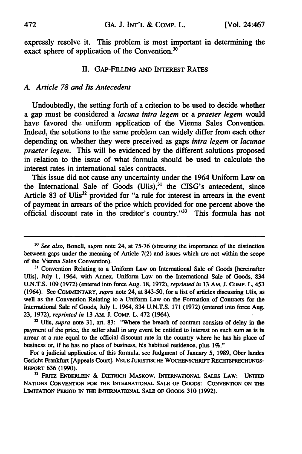expressly resolve it. This problem is most important in determining the exact sphere of application of the Convention. $30$ 

# **II.** GAP-FILLING **AND INTEREST RATES**

## *A. Article 78 and Its Antecedent*

Undoubtedly, the setting forth of a criterion to be used to decide whether a gap must be considered a *lacuna intra legem* or a *praeter legem* would have favored the uniform application of the Vienna Sales Convention. Indeed, the solutions to the same problem can widely differ from each other depending on whether they were preceived as gaps *intra legem* or *lacunae praeter legem.* This will be evidenced **by** the different solutions proposed in relation to the issue of what formula should be used to calculate the interest rates in international sales contracts.

This issue did not cause any uncertainty under the 1964 Uniform Law on the International Sale of Goods  $(U$ lis),<sup>31</sup> the CISG's antecedent, since Article 83 of Ulis<sup>32</sup> provided for "a rule for interest in arrears in the event of payment in arrears of the price which provided for one percent above the official discount rate in the creditor's country."33 This formula has not

**11 FRn-z ENDERLEiN & DiETRicH** MASKOW, INTERNATIONAL **SALES LAW: UNrED** NATIONS **CONVENTION FOR THE** INTERNATIONAL **SALE OF** GOODS: CONVENTION ON **THE LIMITATION PERIOD IN THE INTERNATIONAL SALE OF** GOODS **310** (1992).

*<sup>&</sup>quot; See also,* Bonell, *supra* note **24,** at **75-76** (stressing the importance of the distinction between gaps under the meaning of Article **7(2)** and issues which are not within the scope of the Vienna Sales Convention).

**<sup>31</sup>** Convention Relating to a Uniform Law on International Sale of Goods [hereinafter Ulis], July **1,** 1964, with Annex, Uniform Law on the International Sale of Goods, 834 **U.N.T.S. 109 (1972)** (entered into force Aug. **18, 1972),** *reprinted in* 13 AM. **J.** CoMP. L. 453 (1964). See **COMMENTARY,** *supra* note 24, at **843-50,** for a list of articles discussing Ulis, as well as the Convention Relating to a Uniform Law on the Formation of Contracts for the International Sale of Goods, July **1,** 1964, 834 **U.N.T.S. 171 (1972)** (entered into force Aug. **23, 1972),** *reprinted in* **13** AM. **J.** COMp. L. 472 (1964).

**<sup>31</sup>***Ulis, supra* note **31,** art. **83:** "Where the breach of contract consists of delay in the payment of the price, the seller shall in any event be entitled to interest on such sum as is in arrear at a rate equal to the official discount rate in the country where he has his place of business or, if he has no place of business, his habitual residence, plus **1%."**

For a judicial application of this formula, see Judgment of January **5, 1989,** Ober landes Gericht Frankfurt [Appeals Court], **NEUE JURISTISCHE WOCHENSCHRIFr RECHTSPRECHUNGS-REPORT** 636 **(1990).**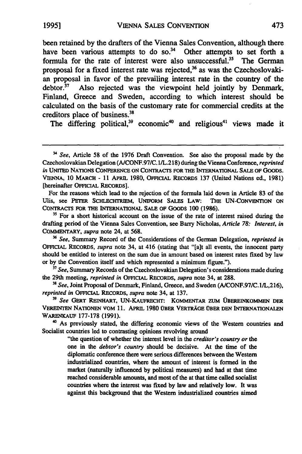been retained **by** the drafters of the Vienna Sales Convention, although there have been various attempts to do so.<sup>34</sup> Other attempts to set forth a formula for the rate of interest were also unsuccessful.<sup>35</sup> The German prosposal for a fixed interest rate was rejected, $36$  as was the Czechoslovakian proposal in favor of the prevailing interest rate in the country of the debtor.<sup>37</sup> Also rejected was the viewpoint held jointly by Denmark, Finland, Greece and Sweden, according to which interest should be calculated on the basis of the customary rate for commercial credits at the creditors place of business.<sup>31</sup>

The differing political,<sup>39</sup> economic<sup>40</sup> and religious<sup>41</sup> views made it

For the reasons which lead to the rejection of the formula laid down in Article **83** of the Ulis, see **PETER** SCHLECHTRIEM, UNIFORM SALES LAW: THE **UN-CONVENTION ON** CONTRACTS FOR THE **INTERNATIONAL SALE** OF **GOODS 100 (1986).**

**35** For a short historical account on the issue of the rate of interest raised during the drafting period of the Vienna Sales Convention, see Barry Nicholas, *Article 78: Interest, in* COMMENTARY, *supra* note 24, at **568.**

**36** *See,* Summary Record of the Considerations of the German Delegation, *reprinted in* OFFICIAL RECORDS, *supra* note 34, at 416 (stating that "[a]t all events, the innocent party should be entitled to interest on the sum due in amount based on interest rates fixed **by** law or **by** the Convention itself and which represented a minimum figure.").

**<sup>37</sup>***See,* Summary Records of the Czechoslovakian Delegation's considerations made during the 29th meeting, *reprinted in* OFFICIAL RECORDS, *supra* note 34, at **288.**

**'a** *See,* Joint Proposal of Denmark, Finland, Greece, and Sweden **(A/CONF.97/C.1/L,216),** *reprinted in* OFFICIAL RECORDS, *supra* note 34, at **137.**

**39** *See* GERT **REINHART,** UN-KAUFRECHT: KOMMENTAR ZUM 10BEREINKOMMEN DER VEREINTEN **NATIONEN** VOM **11.** APRL **1980** OBER **VERTRAGE** OBER **DEN INTERNATIONALEN** WARENKAUF **177-178 (1991).**

**40** As previously stated, the differing economic views of the Western countries and Socialist countries led to contrasting opinions revolving around

> "the question of whether the interest level in the *creditor's country or* the one in the *debtor's country* should be decisive. At the time of the diplomatic conference there were serious differences between the Western industrialized countries, where the amount of interest is formed in the market (naturally influenced **by** political measures) and had at that time reached considerable amounts, and most of the at that time called socialist countries where the interest was fixed **by** law and relatively low. It was against this background that the Western industrialized countries aimed

See, Article **58** of the 1976 Draft Convention. See also the proposal made by the Czechoslovakian Delegation (A/CONF.97/C. 1/L.218) during the Vienna Conference, *reprinted in* UNITED NATIONS CONFERENCE ON CONTRACTS FOR THE INTERNATIONAL **SALE** OF GOODS. **VIENNA,** 10 MARCH - 11 APRIL 1980, **OFFICIAL** RECORDS 137 (United Nations ed., 1981) [hereinafter OFFICIAL RECORDS].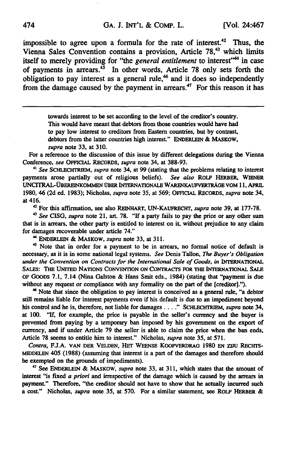impossible to agree upon a formula for the rate of interest.<sup>42</sup> Thus, the Vienna Sales Convention contains a provision, Article **78,43** which limits itself to merely providing for "the *general entitlement* to interest"<sup>44</sup> in case of payments in arrears.45 In other words, Article **78** only sets forth the obligation to pay interest as a general rule,<sup>46</sup> and it does so independently from the damage caused **by** the payment in arrears.47 For this reason it has

> towards interest to be set according to the level of the creditor's country. This would have meant that debtors from those countries would have had to pay low interest to creditors from Eastern countries, but **by** contrast, debtors from the latter countries high interest." **ENDERLEIN** & MASKOW, *supra* note **33,** at **310.**

For a reference to the discussion of this issue **by** different delegations during the Vienna Conference, *see* **OFFICIAL** RECORDS, *supra* note 34, at **388-93.**

**<sup>41</sup>***See ScHLEcHTREm, supra* note **34,** at **99** (stating that the problems relating to interest payments arose partially out of religious beliefs). *See also* ROLF HERBER, WIENER UNCTRAL-0BEREINKOMMEN OBER INb RNATIONALE WARENKAUFVERTRAGE **VOM 11,** APRIL **1980,** 46 **(2d ed. 1983);** Nicholas, *supra* note **35,** at **569;** OFFICAL RECORDS, *supra* note 34, at 416.

**<sup>42</sup>**For this affi-mation, see also REINHART, **UN-KAUFRECHT,** *supra* note **39,** at 177-78.

**43** *See* CISG, *supra* note 21, art. **78.** "If a party fails to pay the price or any other sum that is in arrears, the other party is entitled to interest on **it,** without prejudice to any claim for damages recoverable under article 74."

**" ENDERLEIN &** MASKOW, *supra* note **33,** at **311.**

45 Note that in order for a payment to be in arrears, no formal notice of default is necessary, as it is in some national legal systems. *See* Denis Tallon, *The Buyer's Obligation under the Convention on Contracts for the International Sale of Goods, in* **INTERNATIONAL** SALES: THE **UNITED NATIONS CONVENTION ON** CONTRACTS FOR THE INTERNATIONAL **SALE** OF GOODS **7.1,** 7.14 (Nina Galston **&** Hans Smit eds., 1984) (stating that "payment is due without any request or compliance with any formality on the part of the [creditor].").

**'6** Note that since the obligation to pay interest is conceived as a general **rule,** "a debtor still remains liable for interest payments even if his default is due to an impediment beyond his control and he is, therefore, not liable for damages **...."** SCHLECHTRIEM, *supra* note 34, at **100.** "If, for example, the price is payable in the seller's currency and the buyer is prevented from paying **by** a temporary ban imposed **by** his government on the export of currency, and if under Article **79** the seller is able to claim the price when the ban ends, Article 78 seems to entitle him to interest." Nicholas, *supra* note **35,** at 571.

*Contra,* **FJ.A. VAN** DER **VELDEN,** Hrr **WEENSE** KOOPVERDRAG **1980 EN** zUu RECHTS-**MIDDELEN** 405 **(1988)** (assuming that interest is a part of the damages and therefore should be exempted on the grounds of impediments).

**7** See **ENDERLEIN** & MASKOW, *supra* note **33,** at **311,** which states that the amount of interest "is fixed *a priori* and irrespective of the damage which is caused **by** the arrears in payment." Therefore, "the creditor should not have to show that he actually incurred such a cost." Nicholas, *supra* note *35,* at **570.** For a similar statement, see **ROLF HERBER &**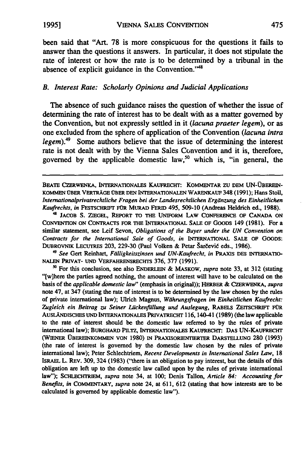been said that "Art. 78 is more conspicuous for the questions it fails to answer than the questions it answers. In particular, it does not stipulate the rate of interest or how the rate is to be determined by a tribunal in the absence of explicit guidance in the Convention."

# *B. Interest Rate: Scholarly Opinions and Judicial Applications*

The absence of such guidance raises the question of whether the issue of determining the rate of interest has to be dealt with as a matter governed by the Convention, but not expressly settled in it *(lacuna praeter legem),* or as one excluded from the sphere of application of the Convention *(lacuna intra legem).49* Some authors believe that the issue of determining the interest rate is not dealt with by the Vienna Sales Convention and it is, therefore, governed by the applicable domestic law,<sup>50</sup> which is, "in general, the

BEATE CZERWENKA, INTERNATIONALES KAUFRECHT: KOMMENTAR ZU DEM UN-ÜBEREIN-KOMMEN ,BER VERTRAGE VEER **DEN** INTERNATIONALEN WARENKAUF 348 **(1991);** Hans Stoll, *Internationalprivatrechtliche Fragen bei der Landesrechtlichen Ergainzung des Einheitlichen Kaufrechts, in* FESTSCHRIFr FOR MURAD FERID 495, 509-10 (Andreas Heldrich ed., **1988).** 4 JACOB S. ZIEGEL, **REPORT** TO THE **UNIFORM** LAW **CONFERENCE OF CANADA ON**

**CONVENTION ON CONTRACTS** FOR THE **INTERNATIONAL SALE** OF GOODS 149 **(1981).** For a similar statement, see Leif Sevon, *Obligations of the Buyer under the UN Convention on Contracts for the International Sale of Goods, in* INTERNATIONAL **SALE** OF GOODS: DUBROVNIK LECUTRES 203, 229-30 (Paul Volken & Petar Šarčević eds., 1986).

*4 See* Gert Reinhart, *Fdlligkeitszinsen und UN-Kaufrecht, in* PRAXIS **DES** INTERNATIO-**NALEN** PRIVAT- **UND** VERFAHRENSRECHTS **376, 377** (1991).

**5** For this conclusion, see also **ENDERLEIN** & MASKOW, *supra* note **33,** at **312** (stating "[w]here the parties agreed nothing, the amount of interest will have to be calculated on the basis of the *applicable domestic law"* (emphasis in original)); HERBER & CZERWENKA, *supra* note 47, at 347 (stating the rate **of** interest is to be determined **by** the law chosen **by** the rules of private international law); Ulrich Magnus, *Wahrungsfragen im Einheitlichen Kaufrecht: Zugleich* **ein** *Beitrag zu Seiner Liickenfiillung und Auslegung,* RABELS ZErSCHRIFr *FOR* AUSLANDISCHES **UND** INTERNATIONALES PRIVATRECHT 116, 140-41 **(1989)** (the law applicable to the rate of interest should be the domestic law referred to **by** the rules of private international law); BURGHARD PILTZ, **INTERNATIONALES** KAUFRECHT: **DAS UN-KAUFRECHT** (WIENER (BEREINKOMMEN **VON 1980)** IN PRAXSORIENTiERTER DARSTELLUNG **280 (1993)** (the rate of interest is governed **by** the domestic law chosen **by** the rules of private international law); Peter Schlechtriem, *Recent Developments in International Sales Law,* **18** ISRAEL L. REV. **309,** 324 **(1983)** ("there is an obligation to pay interest, but the details of this obligation are left up to the domestic law called upon **by** the rules of private international law"); SCHLECHTRIEM, *supra* note 34, at **100;** Denis Tallon, *Article 84: Accounting for Benefits, in* COMMENTARY, *supra* note 24, at **611, 612** (stating that how interests are to be calculated is governed **by** applicable domestic law").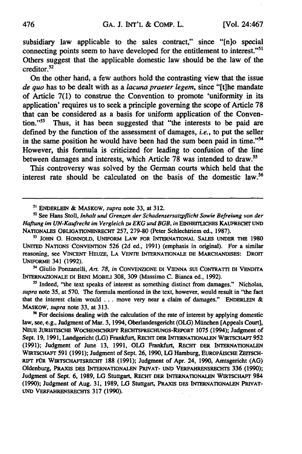subsidiary law applicable to the sales contract," since "[n]o special connecting points seem to have developed for the entitlement to interest."<sup>51</sup> Others suggest that the applicable domestic law should be the law of the creditor.<sup>52</sup>

On the other hand, a few authors hold the contrasting view that the issue *de quo* has to be dealt with as a *lacuna praeter legem,* since "[t]he mandate of Article 7(1) to construe the Convention to promote 'uniformity in its application' requires us to seek a principle governing the scope of Article **78** that can be considered as a basis for uniform application of the Convention."53 Thus, it has been suggested that "the interests to be paid are defined **by** the function of the assessment of damages, *i.e.,* to put the seller in the same position he would have been had the sum been paid in time."<sup>54</sup> However, this formula is criticized for leading to confusion of the line between damages and interests, which Article **78** was intended to draw.55

This controversy was solved **by** the German courts which held that the interest rate should be calculated on the basis of the domestic law.<sup>56</sup>

- Giulio Ponzanelli, *Art. 78, in* **CONVENZIONE DI VIENNA SUi CONTRATrI DI VENDITA** INTERNAZIONALE DI BENI **MOBILI 308, 309** (Massimo **C.** Bianca ed., **1992).**

<sup>55</sup> Indeed, "the text speaks of interest as something distinct from damages." Nicholas, *supra* note **35,** at **570.** The formula mentioned in the text, however, would result in "the fact that the interest claim would **...** move very near a claim of damages." ENDERLEIN & MASKOW, *supra* note **33,** at 313.

<sup>56</sup> For decisions dealing with the calculation of the rate of interest by applying domestic law, see, e.g., Judgment of Mar. **3,** 1994, Oberlandesgericht **(OLG)** Mlinchen [Appeals Court], **NEUE JURISTISCHE** WOcHENSCHRIPr **RECHTPRECHUNGS-REPoRT 1075** (1994); Judgment of Sept. **19, 1991,** Landgericht (LG) Frankfurt, **RECHT DER** INTERNATIONALEN **WIRTSCHAFr 952** (1991); Judgment of June **13, 1991, OLG** Frankfurt, REcHT DER **INTERNATIONALEN** WIRTSCHAFT 591 (1991); Judgment of Sept. 26, 1990, LG Hamburg, EUROPÄISCHE ZEITSCH-RIFt FOR WIRTSCHAFrSRECHT **188** (1991); Judgment of Apr. 24, **1990,** Amtsgericht (AG) Oldenburg, **PRAXIS** DES INTERNATIONALEN PRIvAT- UND **VERFAHRENsRECHTs 336 (1990);** Judgment of Sept. **6, 1989, LG** Stuttgart, **REcHT** DER **INTERNATIONALEN** WIRTscHAFr 984 **(1990);** Judgment of Aug. **31, 1989, LG** Stuttgart, PRAXIS **DES INTERNATIONALEN** PRIVAT-**UND VERFAHRENSRECHTS 317 (1990).** 

**<sup>5&#</sup>x27;** ENDERLEIN & **MASKOW,** *supra* note **33,** at **312.**

**<sup>52</sup>**See Hans Stoll, Inhalt und Grenzen der Schadensersatzpflicht Sowie Befreiung von der *Haftung im UN-Kaufrecht im Vergleich zu EKG und BGB, in* EINHErrLICHES KAUFRECHT **UND** NATIONALES OBLIGATIONENRECHT **257, 279-80** (Peter Schlechtriem ed., **1987).**

**<sup>53</sup>**JOHN **0.** HONNOLD, **UNIFORM LAW FOR INTERNATIONAL SALES** uNDER THE **<sup>1980</sup> UNITED NATIONS CONVENTION** 526 **(2d** ed., **1991)** (emphasis in original). For a similar reasoning, see VINCENT HEUZE, LA VENTE INTERNATIONALE DE MARCHANDISES: DROIT UNIFORME 341 **(1992).**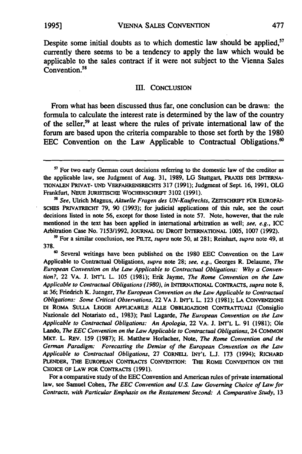Despite some initial doubts as to which domestic law should be applied,<sup>57</sup> currently there seems to be a tendency to apply the law which would be applicable to the sales contract if it were not subject to the Vienna Sales Convention.<sup>58</sup>

#### III. CONCLUSION

From what has been discussed thus far, one conclusion can be drawn: the formula to calculate the interest rate is determined **by** the law of the country of the seller,59 at least where the rules of private international law of the forum are based upon the criteria comparable to those set forth **by** the **1980 EEC** Convention on the Law Applicable to Contractual Obligations.'

For a comparative study of the **EEC** Convention and American rules of private international law, see Samuel Cohen, *The EEC Convention and U.S. Law Governing Choice of Law for Contracts, with Particular Emphasis on the Restatement* Second: **A** Comparative Study, **13**

**<sup>&</sup>quot;** For two early German court decisions referring to the domestic law of the creditor as the applicable law, see Judgment of Aug. **31, 1989, LG** Stuttgart, **PRAXIS DES** INTERNA-TIONALEN PRIVAT- UND **VERFAHRENsREcHTs 317 (1991);** Judgment of Sept. **16, 1991, OLG** Frankfurt, NEuE JURISTISCHE WOCHENSCHRIFr **3102 (1991).**

*<sup>58</sup> See,* Ulrich Magnus, *Aktuelle Fragen des UN-Kaufrechts,* ZEITSCHRIFr FOR EURoPAI-**SCHES PRIVATRECHT 79, 90 (1993);** for judicial applications of this rule, see the court decisions listed in note **56,** except for those listed in note **57.** Note, however, that the rule mentioned in the text has been applied in international arbitration as well; *see, e.g.,* ICC Arbitration Case No. **7153/1992, JOURNAL** DU DROrr INTERNATIONAL **1005, 1007 (1992).**

**<sup>&</sup>quot;** For a similar conclusion, see **PILTZ,** *supra* note **50,** at **281;** Reinhart, *supra* note 49, at **378.**

**<sup>60</sup>**Several writings have been published on the **1980 EEC** Convention on the Law Applicable to Contractual Obligations, supra note **28;** see, *e.g.,* Georges R. Delaume, *The European* Convention on the Law *Applicable to* Contractual Obligations: **Why** a *Convention?,* 22 VA. **J. INT'L** L. **105 (1981);** Erik Jayme, *The Rome Convention on the Law Applicable to Contractual Obligations (1980), in* **INTERNATIONAL** CONTRACTS, *supra* note **8,** at **36;** Friedrich K. Juenger, *The European Convention on the Law Applicable to Contractyal Obligations: Some Critical Observations,* 22 VA **J. INT'L** L. **123 (1981); LA CONVENZIONE DI** ROMA **SULLA LEGGE** APPLICABILE **ALLE** OBBLIGAZIONI CONTRATrUALI (Consiglio Nazionale del Notariato ed., **1983);** Paul Lagarde, *The European Convention on the Law Applicable to Contractual Obligations: An Apologia,* 22 VA. **J.** INT'L L. **91 (1981);** Ole Lando, *The EEC Convention on the Law Applicable to Contractual Obligations,* 24 COMMON MiKT. L. REV. **159 (1987);** H. Matthew Horlacher, Note, *The Rome Convention and the German* Paradigm: *Forecasting the Demise of the European Convention on the Law Applicable to Contractual Obligations,* **27** CORNELL **INT'L L.J. 173** (1994); RICHARD PLENDER, THE EUROPEAN CONTRACTS CONvENION: THE **ROME** CONVENTION **ON** THE **CHOICE OF** LAW FOR CONTRACTS **(1991).**